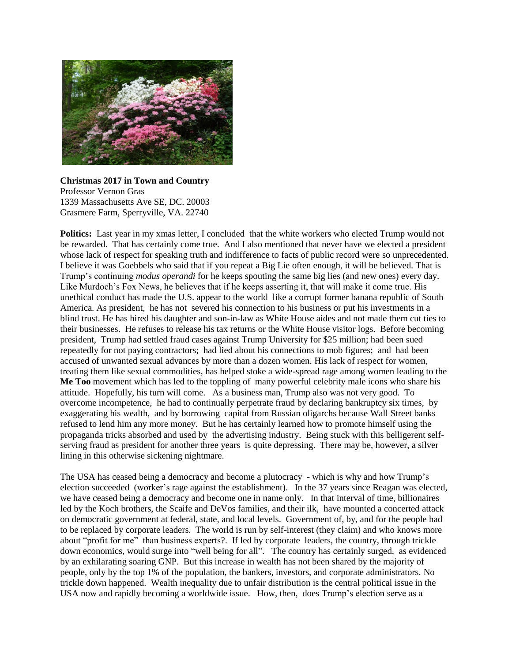

**Christmas 2017 in Town and Country**  Professor Vernon Gras 1339 Massachusetts Ave SE, DC. 20003 Grasmere Farm, Sperryville, VA. 22740

**Politics:** Last year in my xmas letter, I concluded that the white workers who elected Trump would not be rewarded. That has certainly come true. And I also mentioned that never have we elected a president whose lack of respect for speaking truth and indifference to facts of public record were so unprecedented. I believe it was Goebbels who said that if you repeat a Big Lie often enough, it will be believed. That is Trump's continuing *modus operandi* for he keeps spouting the same big lies (and new ones) every day. Like Murdoch's Fox News, he believes that if he keeps asserting it, that will make it come true. His unethical conduct has made the U.S. appear to the world like a corrupt former banana republic of South America. As president, he has not severed his connection to his business or put his investments in a blind trust. He has hired his daughter and son-in-law as White House aides and not made them cut ties to their businesses. He refuses to release his tax returns or the White House visitor logs. Before becoming president, Trump had settled fraud cases against Trump University for \$25 million; had been sued repeatedly for not paying contractors; had lied about his connections to mob figures; and had been accused of unwanted sexual advances by more than a dozen women. His lack of respect for women, treating them like sexual commodities, has helped stoke a wide-spread rage among women leading to the **Me Too** movement which has led to the toppling of many powerful celebrity male icons who share his attitude. Hopefully, his turn will come. As a business man, Trump also was not very good. To overcome incompetence, he had to continually perpetrate fraud by declaring bankruptcy six times, by exaggerating his wealth, and by borrowing capital from Russian oligarchs because Wall Street banks refused to lend him any more money. But he has certainly learned how to promote himself using the propaganda tricks absorbed and used by the advertising industry. Being stuck with this belligerent selfserving fraud as president for another three years is quite depressing. There may be, however, a silver lining in this otherwise sickening nightmare.

The USA has ceased being a democracy and become a plutocracy - which is why and how Trump's election succeeded (worker's rage against the establishment). In the 37 years since Reagan was elected, we have ceased being a democracy and become one in name only. In that interval of time, billionaires led by the Koch brothers, the Scaife and DeVos families, and their ilk, have mounted a concerted attack on democratic government at federal, state, and local levels. Government of, by, and for the people had to be replaced by corporate leaders. The world is run by self-interest (they claim) and who knows more about "profit for me" than business experts?. If led by corporate leaders, the country, through trickle down economics, would surge into "well being for all". The country has certainly surged, as evidenced by an exhilarating soaring GNP. But this increase in wealth has not been shared by the majority of people, only by the top 1% of the population, the bankers, investors, and corporate administrators. No trickle down happened. Wealth inequality due to unfair distribution is the central political issue in the USA now and rapidly becoming a worldwide issue. How, then, does Trump's election serve as a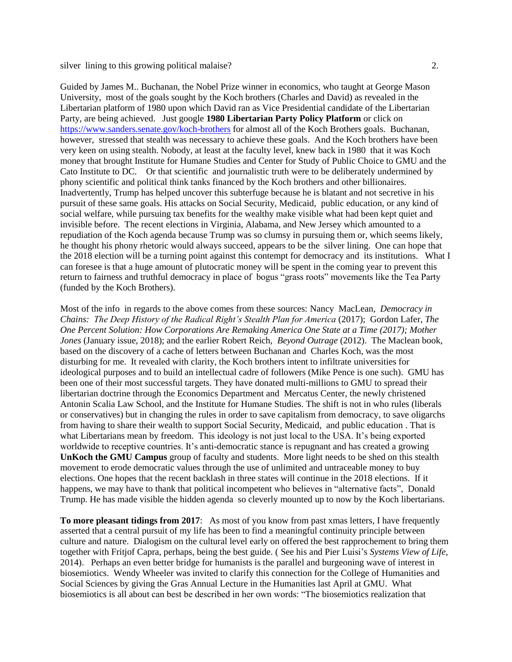silver lining to this growing political malaise? 2.

Guided by James M.. Buchanan, the Nobel Prize winner in economics, who taught at George Mason University, most of the goals sought by the Koch brothers (Charles and David) as revealed in the Libertarian platform of 1980 upon which David ran as Vice Presidential candidate of the Libertarian Party, are being achieved. Just google **1980 Libertarian Party Policy Platform** or click on <https://www.sanders.senate.gov/koch-brothers> for almost all of the Koch Brothers goals. Buchanan, however, stressed that stealth was necessary to achieve these goals. And the Koch brothers have been very keen on using stealth. Nobody, at least at the faculty level, knew back in 1980 that it was Koch money that brought Institute for Humane Studies and Center for Study of Public Choice to GMU and the Cato Institute to DC. Or that scientific and journalistic truth were to be deliberately undermined by phony scientific and political think tanks financed by the Koch brothers and other billionaires. Inadvertently, Trump has helped uncover this subterfuge because he is blatant and not secretive in his pursuit of these same goals. His attacks on Social Security, Medicaid, public education, or any kind of social welfare, while pursuing tax benefits for the wealthy make visible what had been kept quiet and invisible before. The recent elections in Virginia, Alabama, and New Jersey which amounted to a repudiation of the Koch agenda because Trump was so clumsy in pursuing them or, which seems likely, he thought his phony rhetoric would always succeed, appears to be the silver lining. One can hope that the 2018 election will be a turning point against this contempt for democracy and its institutions. What I can foresee is that a huge amount of plutocratic money will be spent in the coming year to prevent this return to fairness and truthful democracy in place of bogus "grass roots" movements like the Tea Party (funded by the Koch Brothers).

Most of the info in regards to the above comes from these sources: Nancy MacLean, *Democracy in Chains: The Deep History of the Radical Right's Stealth Plan for America* (2017); Gordon Lafer, *The One Percent Solution: How Corporations Are Remaking America One State at a Time (2017); Mother Jones* (January issue, 2018); and the earlier Robert Reich, *Beyond Outrage* (2012). The Maclean book, based on the discovery of a cache of letters between Buchanan and Charles Koch, was the most disturbing for me. It revealed with clarity, the Koch brothers intent to infiltrate universities for ideological purposes and to build an intellectual cadre of followers (Mike Pence is one such). GMU has been one of their most successful targets. They have donated multi-millions to GMU to spread their libertarian doctrine through the Economics Department and Mercatus Center, the newly christened Antonin Scalia Law School, and the Institute for Humane Studies. The shift is not in who rules (liberals or conservatives) but in changing the rules in order to save capitalism from democracy, to save oligarchs from having to share their wealth to support Social Security, Medicaid, and public education . That is what Libertarians mean by freedom. This ideology is not just local to the USA. It's being exported worldwide to receptive countries. It's anti-democratic stance is repugnant and has created a growing **UnKoch the GMU Campus** group of faculty and students. More light needs to be shed on this stealth movement to erode democratic values through the use of unlimited and untraceable money to buy elections. One hopes that the recent backlash in three states will continue in the 2018 elections. If it happens, we may have to thank that political incompetent who believes in "alternative facts", Donald Trump. He has made visible the hidden agenda so cleverly mounted up to now by the Koch libertarians.

**To more pleasant tidings from 2017**: As most of you know from past xmas letters, I have frequently asserted that a central pursuit of my life has been to find a meaningful continuity principle between culture and nature. Dialogism on the cultural level early on offered the best rapprochement to bring them together with Fritjof Capra, perhaps, being the best guide. ( See his and Pier Luisi's *Systems View of Life,*  2014). Perhaps an even better bridge for humanists is the parallel and burgeoning wave of interest in biosemiotics. Wendy Wheeler was invited to clarify this connection for the College of Humanities and Social Sciences by giving the Gras Annual Lecture in the Humanities last April at GMU. What biosemiotics is all about can best be described in her own words: "The biosemiotics realization that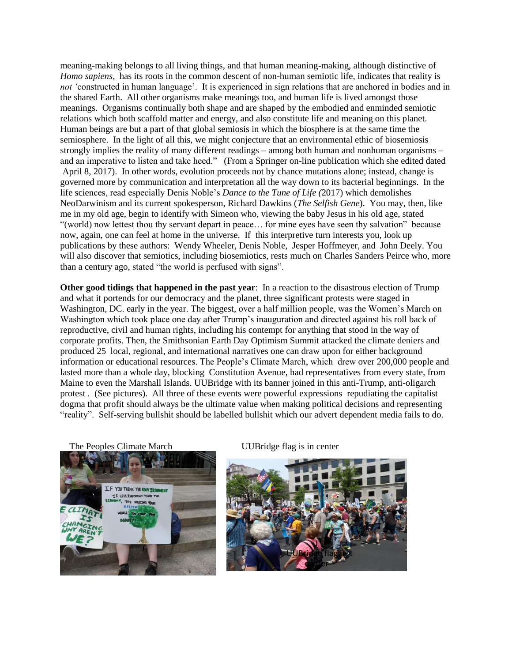meaning-making belongs to all living things, and that human meaning-making, although distinctive of *Homo sapiens*, has its roots in the common descent of non-human semiotic life, indicates that reality is *not '*constructed in human language'. It is experienced in sign relations that are anchored in bodies and in the shared Earth. All other organisms make meanings too, and human life is lived amongst those meanings. Organisms continually both shape and are shaped by the embodied and enminded semiotic relations which both scaffold matter and energy, and also constitute life and meaning on this planet. Human beings are but a part of that global semiosis in which the biosphere is at the same time the semiosphere. In the light of all this, we might conjecture that an environmental ethic of biosemiosis strongly implies the reality of many different readings – among both human and nonhuman organisms – and an imperative to listen and take heed." (From a Springer on-line publication which she edited dated April 8, 2017). In other words, evolution proceeds not by chance mutations alone; instead, change is governed more by communication and interpretation all the way down to its bacterial beginnings. In the life sciences, read especially Denis Noble's *Dance to the Tune of Life (*2017) which demolishes NeoDarwinism and its current spokesperson, Richard Dawkins (*The Selfish Gene*). You may, then, like me in my old age, begin to identify with Simeon who, viewing the baby Jesus in his old age, stated "(world) now lettest thou thy servant depart in peace… for mine eyes have seen thy salvation" because now, again, one can feel at home in the universe. If this interpretive turn interests you, look up publications by these authors: Wendy Wheeler, Denis Noble, Jesper Hoffmeyer, and John Deely. You will also discover that semiotics, including biosemiotics, rests much on Charles Sanders Peirce who, more than a century ago, stated "the world is perfused with signs".

**Other good tidings that happened in the past year**: In a reaction to the disastrous election of Trump and what it portends for our democracy and the planet, three significant protests were staged in Washington, DC. early in the year. The biggest, over a half million people, was the Women's March on Washington which took place one day after Trump's inauguration and directed against his roll back of reproductive, civil and human rights, including his contempt for anything that stood in the way of corporate profits. Then, the Smithsonian Earth Day Optimism Summit attacked the climate deniers and produced 25 local, regional, and international narratives one can draw upon for either background information or educational resources. The People's Climate March, which drew over 200,000 people and lasted more than a whole day, blocking Constitution Avenue, had representatives from every state, from Maine to even the Marshall Islands. UUBridge with its banner joined in this anti-Trump, anti-oligarch protest . (See pictures). All three of these events were powerful expressions repudiating the capitalist dogma that profit should always be the ultimate value when making political decisions and representing "reality". Self-serving bullshit should be labelled bullshit which our advert dependent media fails to do.

The Peoples Climate March UUBridge flag is in center